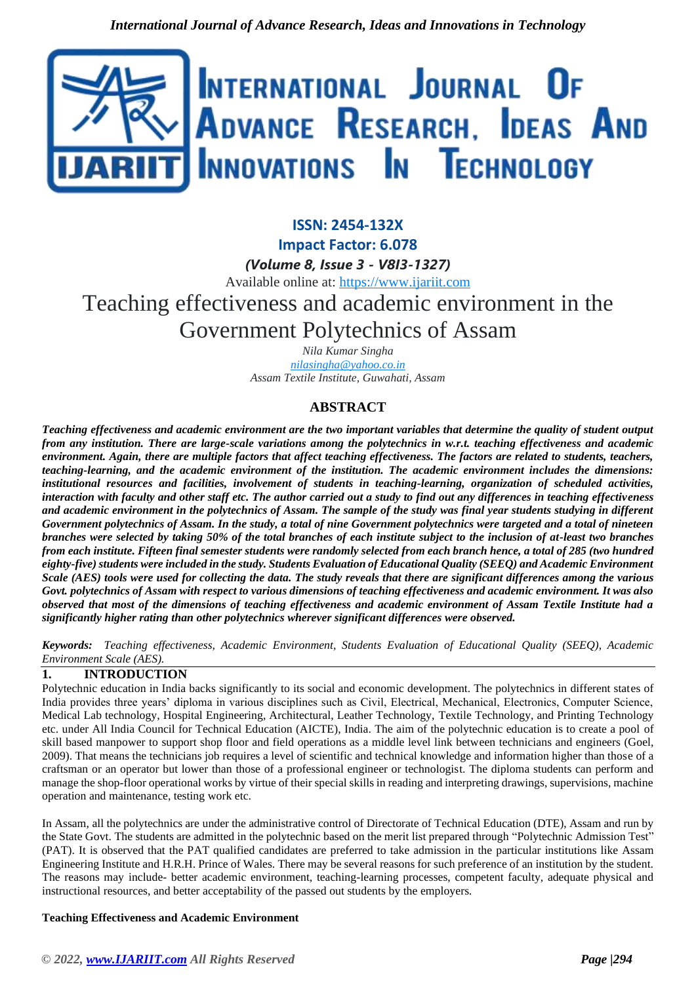

**ISSN: 2454-132X Impact Factor: 6.078** *(Volume 8, Issue 3 - V8I3-1327)* Available online at: [https://www.ijariit.com](https://www.ijariit.com/?utm_source=pdf&utm_medium=edition&utm_campaign=OmAkSols&utm_term=V8I3-1327) Teaching effectiveness and academic environment in the Government Polytechnics of Assam

> *Nila Kumar Singha [nilasingha@yahoo.co.in](mailto:nilasingha@yahoo.co.in) Assam Textile Institute, Guwahati, Assam*

# **ABSTRACT**

*Teaching effectiveness and academic environment are the two important variables that determine the quality of student output from any institution. There are large-scale variations among the polytechnics in w.r.t. teaching effectiveness and academic environment. Again, there are multiple factors that affect teaching effectiveness. The factors are related to students, teachers, teaching-learning, and the academic environment of the institution. The academic environment includes the dimensions: institutional resources and facilities, involvement of students in teaching-learning, organization of scheduled activities, interaction with faculty and other staff etc. The author carried out a study to find out any differences in teaching effectiveness and academic environment in the polytechnics of Assam. The sample of the study was final year students studying in different Government polytechnics of Assam. In the study, a total of nine Government polytechnics were targeted and a total of nineteen branches were selected by taking 50% of the total branches of each institute subject to the inclusion of at-least two branches from each institute. Fifteen final semester students were randomly selected from each branch hence, a total of 285 (two hundred eighty-five) students were included in the study. Students Evaluation of Educational Quality (SEEQ) and Academic Environment Scale (AES) tools were used for collecting the data. The study reveals that there are significant differences among the various Govt. polytechnics of Assam with respect to various dimensions of teaching effectiveness and academic environment. It was also observed that most of the dimensions of teaching effectiveness and academic environment of Assam Textile Institute had a significantly higher rating than other polytechnics wherever significant differences were observed.*

*Keywords: Teaching effectiveness, Academic Environment, Students Evaluation of Educational Quality (SEEQ), Academic Environment Scale (AES).*

## **1. INTRODUCTION**

Polytechnic education in India backs significantly to its social and economic development. The polytechnics in different states of India provides three years' diploma in various disciplines such as Civil, Electrical, Mechanical, Electronics, Computer Science, Medical Lab technology, Hospital Engineering, Architectural, Leather Technology, Textile Technology, and Printing Technology etc. under All India Council for Technical Education (AICTE), India. The aim of the polytechnic education is to create a pool of skill based manpower to support shop floor and field operations as a middle level link between technicians and engineers (Goel, 2009). That means the technicians job requires a level of scientific and technical knowledge and information higher than those of a craftsman or an operator but lower than those of a professional engineer or technologist. The diploma students can perform and manage the shop-floor operational works by virtue of their special skills in reading and interpreting drawings, supervisions, machine operation and maintenance, testing work etc.

In Assam, all the polytechnics are under the administrative control of Directorate of Technical Education (DTE), Assam and run by the State Govt. The students are admitted in the polytechnic based on the merit list prepared through "Polytechnic Admission Test" (PAT). It is observed that the PAT qualified candidates are preferred to take admission in the particular institutions like Assam Engineering Institute and H.R.H. Prince of Wales. There may be several reasons for such preference of an institution by the student. The reasons may include- better academic environment, teaching-learning processes, competent faculty, adequate physical and instructional resources, and better acceptability of the passed out students by the employers.

#### **Teaching Effectiveness and Academic Environment**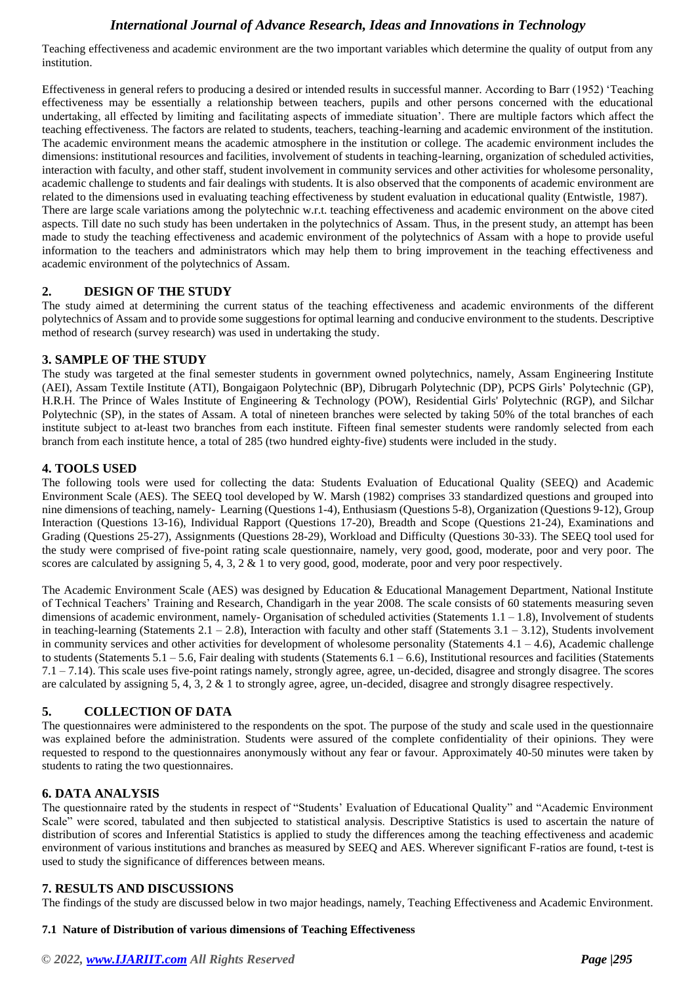Teaching effectiveness and academic environment are the two important variables which determine the quality of output from any institution.

Effectiveness in general refers to producing a desired or intended results in successful manner. According to Barr (1952) 'Teaching effectiveness may be essentially a relationship between teachers, pupils and other persons concerned with the educational undertaking, all effected by limiting and facilitating aspects of immediate situation'. There are multiple factors which affect the teaching effectiveness. The factors are related to students, teachers, teaching-learning and academic environment of the institution. The academic environment means the academic atmosphere in the institution or college. The academic environment includes the dimensions: institutional resources and facilities, involvement of students in teaching-learning, organization of scheduled activities, interaction with faculty, and other staff, student involvement in community services and other activities for wholesome personality, academic challenge to students and fair dealings with students. It is also observed that the components of academic environment are related to the dimensions used in evaluating teaching effectiveness by student evaluation in educational quality (Entwistle, 1987). There are large scale variations among the polytechnic w.r.t. teaching effectiveness and academic environment on the above cited aspects. Till date no such study has been undertaken in the polytechnics of Assam. Thus, in the present study, an attempt has been made to study the teaching effectiveness and academic environment of the polytechnics of Assam with a hope to provide useful information to the teachers and administrators which may help them to bring improvement in the teaching effectiveness and academic environment of the polytechnics of Assam.

### **2. DESIGN OF THE STUDY**

The study aimed at determining the current status of the teaching effectiveness and academic environments of the different polytechnics of Assam and to provide some suggestions for optimal learning and conducive environment to the students. Descriptive method of research (survey research) was used in undertaking the study.

### **3. SAMPLE OF THE STUDY**

The study was targeted at the final semester students in government owned polytechnics, namely, Assam Engineering Institute (AEI), Assam Textile Institute (ATI), Bongaigaon Polytechnic (BP), Dibrugarh Polytechnic (DP), PCPS Girls' Polytechnic (GP), H.R.H. The Prince of Wales Institute of Engineering & Technology (POW), Residential Girls' Polytechnic (RGP), and Silchar Polytechnic (SP), in the states of Assam. A total of nineteen branches were selected by taking 50% of the total branches of each institute subject to at-least two branches from each institute. Fifteen final semester students were randomly selected from each branch from each institute hence, a total of 285 (two hundred eighty-five) students were included in the study.

### **4. TOOLS USED**

The following tools were used for collecting the data: Students Evaluation of Educational Quality (SEEQ) and Academic Environment Scale (AES). The SEEQ tool developed by W. Marsh (1982) comprises 33 standardized questions and grouped into nine dimensions of teaching, namely- Learning (Questions 1-4), Enthusiasm (Questions 5-8), Organization (Questions 9-12), Group Interaction (Questions 13-16), Individual Rapport (Questions 17-20), Breadth and Scope (Questions 21-24), Examinations and Grading (Questions 25-27), Assignments (Questions 28-29), Workload and Difficulty (Questions 30-33). The SEEQ tool used for the study were comprised of five-point rating scale questionnaire, namely, very good, good, moderate, poor and very poor. The scores are calculated by assigning 5, 4, 3, 2 & 1 to very good, good, moderate, poor and very poor respectively.

The Academic Environment Scale (AES) was designed by Education & Educational Management Department, National Institute of Technical Teachers' Training and Research, Chandigarh in the year 2008. The scale consists of 60 statements measuring seven dimensions of academic environment, namely- Organisation of scheduled activities (Statements 1.1 – 1.8), Involvement of students in teaching-learning (Statements  $2.1 - 2.8$ ), Interaction with faculty and other staff (Statements  $3.1 - 3.12$ ), Students involvement in community services and other activities for development of wholesome personality (Statements  $4.1 - 4.6$ ), Academic challenge to students (Statements 5.1 – 5.6, Fair dealing with students (Statements  $6.1 - 6.6$ ), Institutional resources and facilities (Statements 7.1 – 7.14). This scale uses five-point ratings namely, strongly agree, agree, un-decided, disagree and strongly disagree. The scores are calculated by assigning 5, 4, 3, 2  $\&$  1 to strongly agree, agree, un-decided, disagree and strongly disagree respectively.

## **5. COLLECTION OF DATA**

The questionnaires were administered to the respondents on the spot. The purpose of the study and scale used in the questionnaire was explained before the administration. Students were assured of the complete confidentiality of their opinions. They were requested to respond to the questionnaires anonymously without any fear or favour. Approximately 40-50 minutes were taken by students to rating the two questionnaires.

#### **6. DATA ANALYSIS**

The questionnaire rated by the students in respect of "Students' Evaluation of Educational Quality" and "Academic Environment Scale" were scored, tabulated and then subjected to statistical analysis. Descriptive Statistics is used to ascertain the nature of distribution of scores and Inferential Statistics is applied to study the differences among the teaching effectiveness and academic environment of various institutions and branches as measured by SEEQ and AES. Wherever significant F-ratios are found, t-test is used to study the significance of differences between means.

#### **7. RESULTS AND DISCUSSIONS**

The findings of the study are discussed below in two major headings, namely, Teaching Effectiveness and Academic Environment.

#### **7.1 Nature of Distribution of various dimensions of Teaching Effectiveness**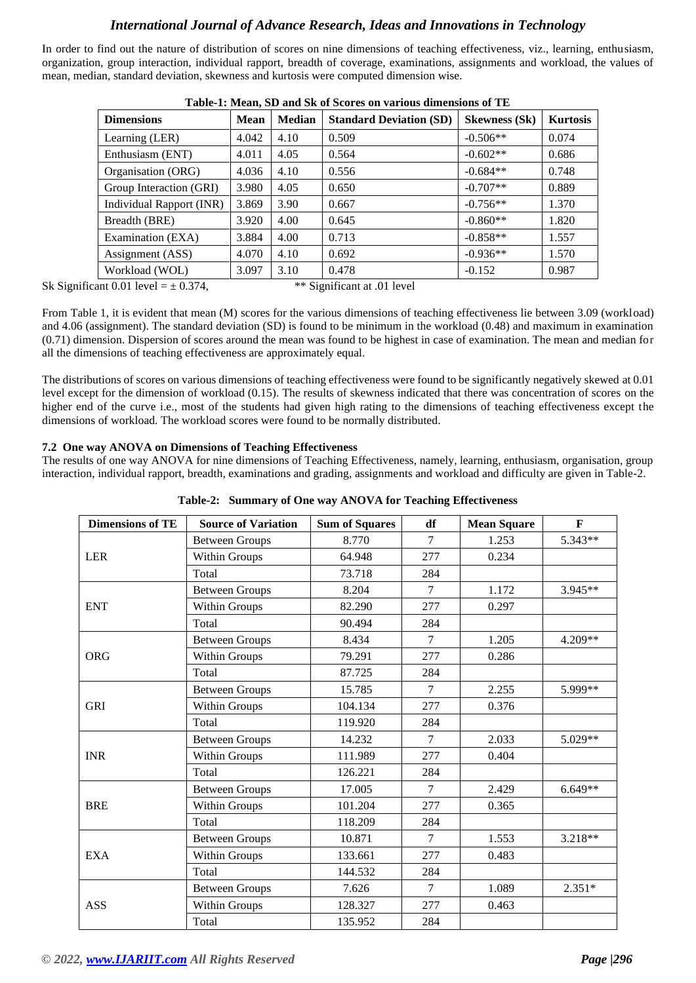In order to find out the nature of distribution of scores on nine dimensions of teaching effectiveness, viz., learning, enthusiasm, organization, group interaction, individual rapport, breadth of coverage, examinations, assignments and workload, the values of mean, median, standard deviation, skewness and kurtosis were computed dimension wise.

| <b>Dimensions</b>               | <b>Mean</b> | <b>Median</b> | <b>Standard Deviation (SD)</b> | <b>Skewness</b> (Sk) | <b>Kurtosis</b> |
|---------------------------------|-------------|---------------|--------------------------------|----------------------|-----------------|
| Learning (LER)                  | 4.042       | 4.10          | 0.509                          | $-0.506**$           | 0.074           |
| Enthusiasm (ENT)                | 4.011       | 4.05          | 0.564                          | $-0.602**$           | 0.686           |
| Organisation (ORG)              | 4.036       | 4.10          | 0.556                          | $-0.684**$           | 0.748           |
| Group Interaction (GRI)         | 3.980       | 4.05          | 0.650                          | $-0.707**$           | 0.889           |
| <b>Individual Rapport (INR)</b> | 3.869       | 3.90          | 0.667                          | $-0.756**$           | 1.370           |
| Breadth (BRE)                   | 3.920       | 4.00          | 0.645                          | $-0.860**$           | 1.820           |
| Examination (EXA)               | 3.884       | 4.00          | 0.713                          | $-0.858**$           | 1.557           |
| Assignment (ASS)                | 4.070       | 4.10          | 0.692                          | $-0.936**$           | 1.570           |
| Workload (WOL)                  | 3.097       | 3.10          | 0.478                          | $-0.152$             | 0.987           |

**Table-1: Mean, SD and Sk of Scores on various dimensions of TE**

Sk Significant  $0.01$  level =  $\pm 0.374$ , \*\* Significant at .01 level

From Table 1, it is evident that mean (M) scores for the various dimensions of teaching effectiveness lie between 3.09 (workload) and 4.06 (assignment). The standard deviation (SD) is found to be minimum in the workload (0.48) and maximum in examination (0.71) dimension. Dispersion of scores around the mean was found to be highest in case of examination. The mean and median for all the dimensions of teaching effectiveness are approximately equal.

The distributions of scores on various dimensions of teaching effectiveness were found to be significantly negatively skewed at 0.01 level except for the dimension of workload (0.15). The results of skewness indicated that there was concentration of scores on the higher end of the curve i.e., most of the students had given high rating to the dimensions of teaching effectiveness except the dimensions of workload. The workload scores were found to be normally distributed.

#### **7.2 One way ANOVA on Dimensions of Teaching Effectiveness**

The results of one way ANOVA for nine dimensions of Teaching Effectiveness, namely, learning, enthusiasm, organisation, group interaction, individual rapport, breadth, examinations and grading, assignments and workload and difficulty are given in Table-2.

| <b>Dimensions of TE</b> | <b>Source of Variation</b> | <b>Sum of Squares</b> | df     | <b>Mean Square</b> | $\mathbf{F}$ |
|-------------------------|----------------------------|-----------------------|--------|--------------------|--------------|
|                         | <b>Between Groups</b>      | 8.770                 | $\tau$ | 1.253              | 5.343**      |
| <b>LER</b>              | Within Groups              | 64.948                | 277    | 0.234              |              |
|                         | Total                      | 73.718                | 284    |                    |              |
|                         | <b>Between Groups</b>      | 8.204                 | $\tau$ | 1.172              | 3.945**      |
| <b>ENT</b>              | Within Groups              | 82.290                | 277    | 0.297              |              |
|                         | Total                      | 90.494                | 284    |                    |              |
|                         | <b>Between Groups</b>      | 8.434                 | $\tau$ | 1.205              | $4.209**$    |
| <b>ORG</b>              | Within Groups              | 79.291                | 277    | 0.286              |              |
|                         | Total                      | 87.725                | 284    |                    |              |
|                         | <b>Between Groups</b>      | 15.785                | $\tau$ | 2.255              | 5.999**      |
| <b>GRI</b>              | Within Groups              | 104.134               | 277    | 0.376              |              |
|                         | Total                      | 119.920               | 284    |                    |              |
|                         | <b>Between Groups</b>      | 14.232                | $\tau$ | 2.033              | 5.029**      |
| <b>INR</b>              | Within Groups              | 111.989               | 277    | 0.404              |              |
|                         | Total                      | 126.221               | 284    |                    |              |
|                         | <b>Between Groups</b>      | 17.005                | $\tau$ | 2.429              | $6.649**$    |
| <b>BRE</b>              | <b>Within Groups</b>       | 101.204               | 277    | 0.365              |              |
|                         | Total                      | 118.209               | 284    |                    |              |
|                         | <b>Between Groups</b>      | 10.871                | 7      | 1.553              | $3.218**$    |
| <b>EXA</b>              | Within Groups              | 133.661               | 277    | 0.483              |              |
|                         | Total                      | 144.532               | 284    |                    |              |
|                         | <b>Between Groups</b>      | 7.626                 | $\tau$ | 1.089              | $2.351*$     |
| <b>ASS</b>              | Within Groups              | 128.327               | 277    | 0.463              |              |
|                         | Total                      | 135.952               | 284    |                    |              |

**Table-2: Summary of One way ANOVA for Teaching Effectiveness**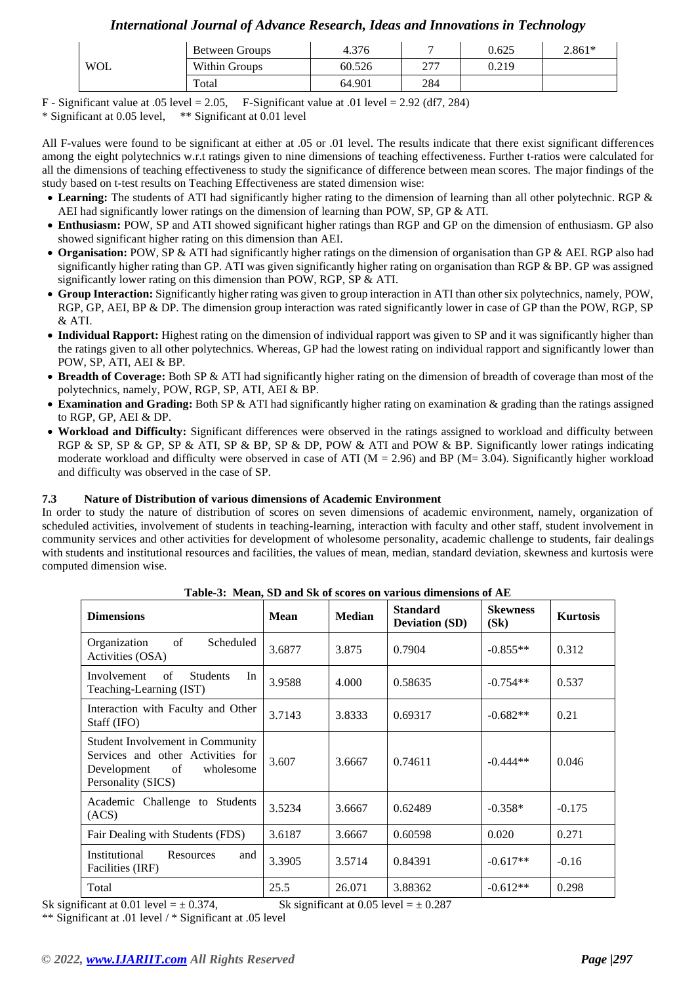|  |            | Between Groups | 4.376  |            | 0.625 | $2.861*$ |
|--|------------|----------------|--------|------------|-------|----------|
|  | <b>WOL</b> | Within Groups  | 60.526 | ריר<br>4 L | 0.219 |          |
|  | Total      | 64.901         | 284    |            |       |          |

F - Significant value at .05 level  $= 2.05$ , F-Significant value at .01 level  $= 2.92$  (df7, 284) \* Significant at 0.05 level, \*\* Significant at 0.01 level

All F-values were found to be significant at either at .05 or .01 level. The results indicate that there exist significant differences among the eight polytechnics w.r.t ratings given to nine dimensions of teaching effectiveness. Further t-ratios were calculated for all the dimensions of teaching effectiveness to study the significance of difference between mean scores. The major findings of the study based on t-test results on Teaching Effectiveness are stated dimension wise:

- **Learning:** The students of ATI had significantly higher rating to the dimension of learning than all other polytechnic. RGP & AEI had significantly lower ratings on the dimension of learning than POW, SP, GP & ATI.
- **Enthusiasm:** POW, SP and ATI showed significant higher ratings than RGP and GP on the dimension of enthusiasm. GP also showed significant higher rating on this dimension than AEI.
- **Organisation:** POW, SP & ATI had significantly higher ratings on the dimension of organisation than GP & AEI. RGP also had significantly higher rating than GP. ATI was given significantly higher rating on organisation than RGP & BP. GP was assigned significantly lower rating on this dimension than POW, RGP, SP & ATI.
- **Group Interaction:** Significantly higher rating was given to group interaction in ATI than other six polytechnics, namely, POW, RGP, GP, AEI, BP & DP. The dimension group interaction was rated significantly lower in case of GP than the POW, RGP, SP & ATI.
- **Individual Rapport:** Highest rating on the dimension of individual rapport was given to SP and it was significantly higher than the ratings given to all other polytechnics. Whereas, GP had the lowest rating on individual rapport and significantly lower than POW, SP, ATI, AEI & BP.
- **Breadth of Coverage:** Both SP & ATI had significantly higher rating on the dimension of breadth of coverage than most of the polytechnics, namely, POW, RGP, SP, ATI, AEI & BP.
- **Examination and Grading:** Both SP & ATI had significantly higher rating on examination & grading than the ratings assigned to RGP, GP, AEI & DP.
- **Workload and Difficulty:** Significant differences were observed in the ratings assigned to workload and difficulty between RGP & SP, SP & GP, SP & ATI, SP & BP, SP & DP, POW & ATI and POW & BP. Significantly lower ratings indicating moderate workload and difficulty were observed in case of ATI ( $M = 2.96$ ) and BP ( $M = 3.04$ ). Significantly higher workload and difficulty was observed in the case of SP.

### **7.3 Nature of Distribution of various dimensions of Academic Environment**

In order to study the nature of distribution of scores on seven dimensions of academic environment, namely, organization of scheduled activities, involvement of students in teaching-learning, interaction with faculty and other staff, student involvement in community services and other activities for development of wholesome personality, academic challenge to students, fair dealings with students and institutional resources and facilities, the values of mean, median, standard deviation, skewness and kurtosis were computed dimension wise.

| <b>Dimensions</b>                                                                                                             | <b>Mean</b> | <b>Median</b> | <b>Standard</b><br><b>Deviation (SD)</b> | <b>Skewness</b><br>(Sk) | <b>Kurtosis</b> |
|-------------------------------------------------------------------------------------------------------------------------------|-------------|---------------|------------------------------------------|-------------------------|-----------------|
| of<br>Scheduled<br>Organization<br>Activities (OSA)                                                                           | 3.6877      | 3.875         | 0.7904                                   | $-0.855**$              | 0.312           |
| Involvement<br>of<br><b>Students</b><br>In<br>Teaching-Learning (IST)                                                         | 3.9588      | 4.000         | 0.58635                                  | $-0.754**$              | 0.537           |
| Interaction with Faculty and Other<br>Staff (IFO)                                                                             | 3.7143      | 3.8333        | 0.69317                                  | $-0.682**$              | 0.21            |
| Student Involvement in Community<br>Services and other Activities for<br>of<br>wholesome<br>Development<br>Personality (SICS) | 3.607       | 3.6667        | 0.74611                                  | $-0.444**$              | 0.046           |
| Academic Challenge to Students<br>(ACS)                                                                                       | 3.5234      | 3.6667        | 0.62489                                  | $-0.358*$               | $-0.175$        |
| Fair Dealing with Students (FDS)                                                                                              | 3.6187      | 3.6667        | 0.60598                                  | 0.020                   | 0.271           |
| Institutional<br>Resources<br>and<br>Facilities (IRF)                                                                         | 3.3905      | 3.5714        | 0.84391                                  | $-0.617**$              | $-0.16$         |
| Total                                                                                                                         | 25.5        | 26.071        | 3.88362                                  | $-0.612**$              | 0.298           |

**Table-3: Mean, SD and Sk of scores on various dimensions of AE**

Sk significant at 0.01 level =  $\pm$  0.374, Sk significant at 0.05 level =  $\pm$  0.287

\*\* Significant at .01 level / \* Significant at .05 level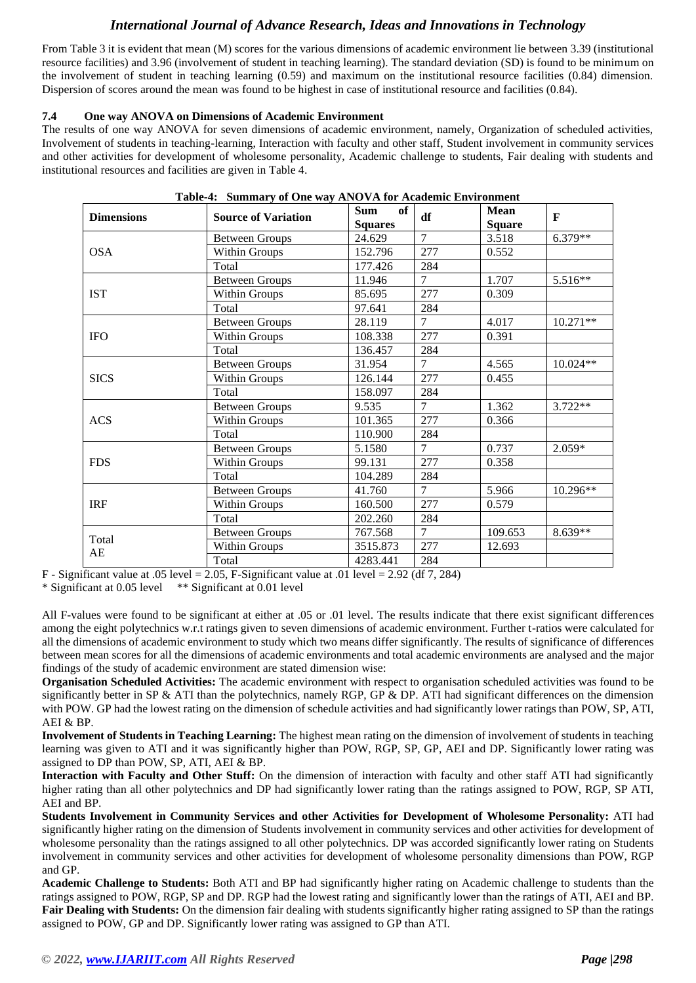From Table 3 it is evident that mean (M) scores for the various dimensions of academic environment lie between 3.39 (institutional resource facilities) and 3.96 (involvement of student in teaching learning). The standard deviation (SD) is found to be minimum on the involvement of student in teaching learning (0.59) and maximum on the institutional resource facilities (0.84) dimension. Dispersion of scores around the mean was found to be highest in case of institutional resource and facilities (0.84).

#### **7.4 One way ANOVA on Dimensions of Academic Environment**

The results of one way ANOVA for seven dimensions of academic environment, namely, Organization of scheduled activities, Involvement of students in teaching-learning, Interaction with faculty and other staff, Student involvement in community services and other activities for development of wholesome personality, Academic challenge to students, Fair dealing with students and institutional resources and facilities are given in Table 4.

| Table-4: Summary of One way ANOVA for Academic Environment |                            |                                    |                |                              |            |  |
|------------------------------------------------------------|----------------------------|------------------------------------|----------------|------------------------------|------------|--|
| <b>Dimensions</b>                                          | <b>Source of Variation</b> | <b>Sum</b><br>of<br><b>Squares</b> | df             | <b>Mean</b><br><b>Square</b> | F          |  |
|                                                            | <b>Between Groups</b>      | 24.629                             | $\overline{7}$ | 3.518                        | $6.379**$  |  |
| <b>OSA</b>                                                 | Within Groups              | 152.796                            | 277            | 0.552                        |            |  |
|                                                            | Total                      | 177.426                            | 284            |                              |            |  |
|                                                            | <b>Between Groups</b>      | 11.946                             | $\tau$         | 1.707                        | 5.516**    |  |
| <b>IST</b>                                                 | Within Groups              | 85.695                             | 277            | 0.309                        |            |  |
|                                                            | Total                      | 97.641                             | 284            |                              |            |  |
|                                                            | <b>Between Groups</b>      | 28.119                             | $\overline{7}$ | 4.017                        | $10.271**$ |  |
| <b>IFO</b>                                                 | Within Groups              | 108.338                            | 277            | 0.391                        |            |  |
|                                                            | Total                      | 136.457                            | 284            |                              |            |  |
|                                                            | <b>Between Groups</b>      | 31.954                             | $\tau$         | 4.565                        | $10.024**$ |  |
| <b>SICS</b>                                                | Within Groups              | 126.144                            | 277            | 0.455                        |            |  |
|                                                            | Total                      | 158.097                            | 284            |                              |            |  |
|                                                            | <b>Between Groups</b>      | 9.535                              | $\overline{7}$ | 1.362                        | $3.722**$  |  |
| <b>ACS</b>                                                 | <b>Within Groups</b>       | 101.365                            | 277            | 0.366                        |            |  |
|                                                            | Total                      | 110.900                            | 284            |                              |            |  |
|                                                            | <b>Between Groups</b>      | 5.1580                             | $\tau$         | 0.737                        | $2.059*$   |  |
| <b>FDS</b>                                                 | Within Groups              | 99.131                             | 277            | 0.358                        |            |  |
|                                                            | Total                      | 104.289                            | 284            |                              |            |  |
|                                                            | <b>Between Groups</b>      | 41.760                             | $\overline{7}$ | 5.966                        | $10.296**$ |  |
| <b>IRF</b>                                                 | Within Groups              | 160.500                            | 277            | 0.579                        |            |  |
|                                                            | Total                      | 202.260                            | 284            |                              |            |  |
|                                                            | <b>Between Groups</b>      | 767.568                            | $\tau$         | 109.653                      | 8.639**    |  |
| Total                                                      | Within Groups              | 3515.873                           | 277            | 12.693                       |            |  |
| AE                                                         | Total                      | 4283.441                           | 284            |                              |            |  |

## **Table-4: Summary of One way ANOVA for Academic Environment**

F - Significant value at .05 level = 2.05, F-Significant value at .01 level = 2.92 (df 7, 284)

\* Significant at 0.05 level \*\* Significant at 0.01 level

All F-values were found to be significant at either at .05 or .01 level. The results indicate that there exist significant differences among the eight polytechnics w.r.t ratings given to seven dimensions of academic environment. Further t-ratios were calculated for all the dimensions of academic environment to study which two means differ significantly. The results of significance of differences between mean scores for all the dimensions of academic environments and total academic environments are analysed and the major findings of the study of academic environment are stated dimension wise:

**Organisation Scheduled Activities:** The academic environment with respect to organisation scheduled activities was found to be significantly better in SP & ATI than the polytechnics, namely RGP, GP & DP. ATI had significant differences on the dimension with POW. GP had the lowest rating on the dimension of schedule activities and had significantly lower ratings than POW, SP, ATI, AEI & BP.

**Involvement of Students in Teaching Learning:** The highest mean rating on the dimension of involvement of students in teaching learning was given to ATI and it was significantly higher than POW, RGP, SP, GP, AEI and DP. Significantly lower rating was assigned to DP than POW, SP, ATI, AEI & BP.

**Interaction with Faculty and Other Stuff:** On the dimension of interaction with faculty and other staff ATI had significantly higher rating than all other polytechnics and DP had significantly lower rating than the ratings assigned to POW, RGP, SP ATI, AEI and BP.

**Students Involvement in Community Services and other Activities for Development of Wholesome Personality:** ATI had significantly higher rating on the dimension of Students involvement in community services and other activities for development of wholesome personality than the ratings assigned to all other polytechnics. DP was accorded significantly lower rating on Students involvement in community services and other activities for development of wholesome personality dimensions than POW, RGP and GP.

**Academic Challenge to Students:** Both ATI and BP had significantly higher rating on Academic challenge to students than the ratings assigned to POW, RGP, SP and DP. RGP had the lowest rating and significantly lower than the ratings of ATI, AEI and BP. **Fair Dealing with Students:** On the dimension fair dealing with students significantly higher rating assigned to SP than the ratings assigned to POW, GP and DP. Significantly lower rating was assigned to GP than ATI.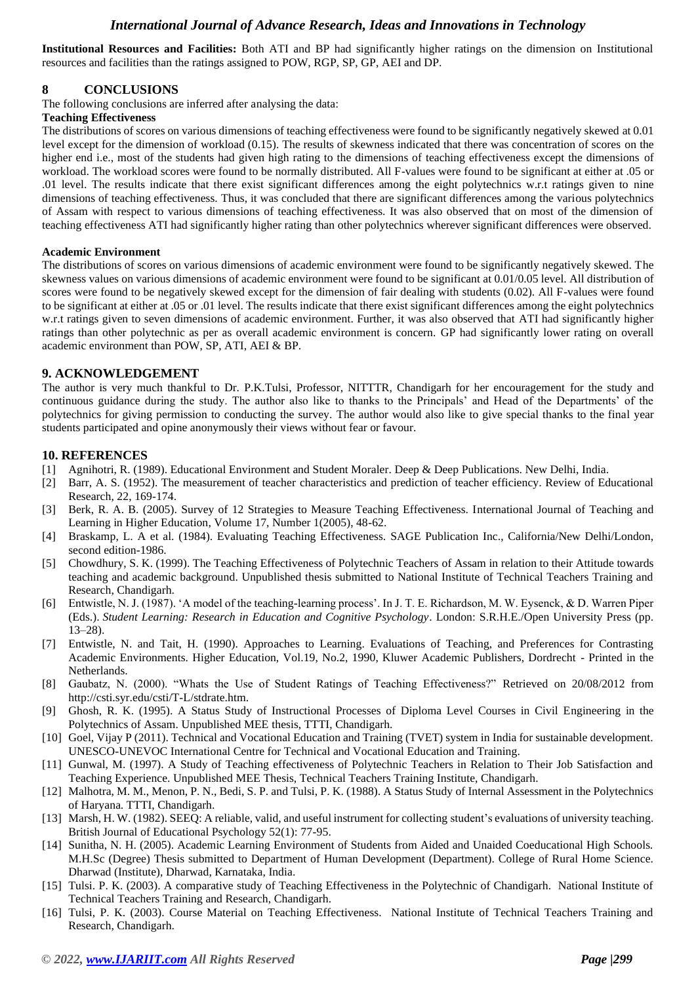**Institutional Resources and Facilities:** Both ATI and BP had significantly higher ratings on the dimension on Institutional resources and facilities than the ratings assigned to POW, RGP, SP, GP, AEI and DP.

### **8 CONCLUSIONS**

The following conclusions are inferred after analysing the data:

#### **Teaching Effectiveness**

The distributions of scores on various dimensions of teaching effectiveness were found to be significantly negatively skewed at 0.01 level except for the dimension of workload (0.15). The results of skewness indicated that there was concentration of scores on the higher end i.e., most of the students had given high rating to the dimensions of teaching effectiveness except the dimensions of workload. The workload scores were found to be normally distributed. All F-values were found to be significant at either at .05 or .01 level. The results indicate that there exist significant differences among the eight polytechnics w.r.t ratings given to nine dimensions of teaching effectiveness. Thus, it was concluded that there are significant differences among the various polytechnics of Assam with respect to various dimensions of teaching effectiveness. It was also observed that on most of the dimension of teaching effectiveness ATI had significantly higher rating than other polytechnics wherever significant differences were observed.

#### **Academic Environment**

The distributions of scores on various dimensions of academic environment were found to be significantly negatively skewed. The skewness values on various dimensions of academic environment were found to be significant at 0.01/0.05 level. All distribution of scores were found to be negatively skewed except for the dimension of fair dealing with students (0.02). All F-values were found to be significant at either at .05 or .01 level. The results indicate that there exist significant differences among the eight polytechnics w.r.t ratings given to seven dimensions of academic environment. Further, it was also observed that ATI had significantly higher ratings than other polytechnic as per as overall academic environment is concern. GP had significantly lower rating on overall academic environment than POW, SP, ATI, AEI & BP.

#### **9. ACKNOWLEDGEMENT**

The author is very much thankful to Dr. P.K.Tulsi, Professor, NITTTR, Chandigarh for her encouragement for the study and continuous guidance during the study. The author also like to thanks to the Principals' and Head of the Departments' of the polytechnics for giving permission to conducting the survey. The author would also like to give special thanks to the final year students participated and opine anonymously their views without fear or favour.

#### **10. REFERENCES**

- [1] Agnihotri, R. (1989). Educational Environment and Student Moraler. Deep & Deep Publications. New Delhi, India.
- [2] Barr, A. S. (1952). The measurement of teacher characteristics and prediction of teacher efficiency. Review of Educational Research, 22, 169-174.
- [3] Berk, R. A. B. (2005). Survey of 12 Strategies to Measure Teaching Effectiveness. International Journal of Teaching and Learning in Higher Education, Volume 17, Number 1(2005), 48-62.
- [4] Braskamp, L. A et al. (1984). Evaluating Teaching Effectiveness. SAGE Publication Inc., California/New Delhi/London, second edition-1986.
- [5] Chowdhury, S. K. (1999). The Teaching Effectiveness of Polytechnic Teachers of Assam in relation to their Attitude towards teaching and academic background. Unpublished thesis submitted to National Institute of Technical Teachers Training and Research, Chandigarh.
- [6] Entwistle, N. J. (1987). 'A model of the teaching-learning process'. In J. T. E. Richardson, M. W. Eysenck, & D. Warren Piper (Eds.). *Student Learning: Research in Education and Cognitive Psychology*. London: S.R.H.E./Open University Press (pp. 13–28).
- [7] Entwistle, N. and Tait, H. (1990). Approaches to Learning. Evaluations of Teaching, and Preferences for Contrasting Academic Environments. Higher Education, Vol.19, No.2, 1990, Kluwer Academic Publishers, Dordrecht - Printed in the Netherlands.
- [8] Gaubatz, N. (2000). "Whats the Use of Student Ratings of Teaching Effectiveness?" Retrieved on 20/08/2012 from http://csti.syr.edu/csti/T-L/stdrate.htm.
- [9] Ghosh, R. K. (1995). A Status Study of Instructional Processes of Diploma Level Courses in Civil Engineering in the Polytechnics of Assam. Unpublished MEE thesis, TTTI, Chandigarh.
- [10] Goel, Vijay P (2011). Technical and Vocational Education and Training (TVET) system in India for sustainable development. UNESCO-UNEVOC International Centre for Technical and Vocational Education and Training.
- [11] Gunwal, M. (1997). A Study of Teaching effectiveness of Polytechnic Teachers in Relation to Their Job Satisfaction and Teaching Experience. Unpublished MEE Thesis, Technical Teachers Training Institute, Chandigarh.
- [12] Malhotra, M. M., Menon, P. N., Bedi, S. P. and Tulsi, P. K. (1988). A Status Study of Internal Assessment in the Polytechnics of Haryana. TTTI, Chandigarh.
- [13] Marsh, H. W. (1982). SEEQ: A reliable, valid, and useful instrument for collecting student's evaluations of university teaching. British Journal of Educational Psychology 52(1): 77-95.
- [14] Sunitha, N. H. (2005). Academic Learning Environment of Students from Aided and Unaided Coeducational High Schools. M.H.Sc (Degree) Thesis submitted to Department of Human Development (Department). College of Rural Home Science. Dharwad (Institute), Dharwad, Karnataka, India.
- [15] Tulsi. P. K. (2003). A comparative study of Teaching Effectiveness in the Polytechnic of Chandigarh. National Institute of Technical Teachers Training and Research, Chandigarh.
- [16] Tulsi, P. K. (2003). Course Material on Teaching Effectiveness. National Institute of Technical Teachers Training and Research, Chandigarh.